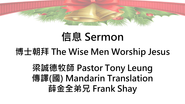

## **信息 Sermon**

#### **博士朝拜 The Wise Men Worship Jesus**

### **梁誠德牧師 Pastor Tony Leung 傳譯(國) Mandarin Translation 薛金全弟兄 Frank Shay**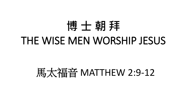# **博 士 朝 拜** THE WISE MEN WORSHIP JESUS

## 馬太福音 MATTHEW 2:9-12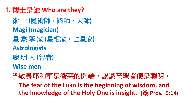1. 博士是誰 **Who are they?**

術 士 **(**魔術師,國師,天師**) Magi (magician)** 星 象 學 家 **(**星相家,占星家**) Astrologists** 聰 明 人 **(**智者**) Wise men <sup>10</sup>**敬畏耶和華是智慧的開端,認識至聖者便是聰明。 The fear of the LORD is the beginning of wisdom, and **the knowledge of the Holy One is insight. (**箴 **Prov. 9:14)**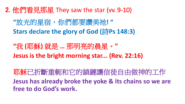2. 他們看見那星 They saw the star (vv. 9-10)

**"**放光的星宿,你們都要讚美祂**! " Stars declare the glory of God (**詩**Ps 148:3)**

**"**我 **(**耶穌**)** 就是 **…** 那明亮的晨星。**" Jesus is the bright morning star... (Rev. 22:16)**

耶穌已折斷重軛和它的鎖鏈讓信徒自由做神的工作 **Jesus has already broke the yoke & its chains so we are free to do God's work.**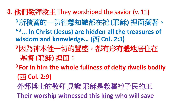- 3. 他們敬拜救主 They worshiped the savior (v. 11)
	- **<sup>3</sup>**所積蓄的一切智慧知識都在祂 **(**耶穌**)** 裡面藏著。
	- **" <sup>3</sup>… In Christ (Jesus) are hidden all the treasures of wisdom and knowledge… (**西 **Col. 2:3)**
	- **<sup>9</sup>**因為神本性一切的豐盛,都有形有體地居住在 基督 **(**耶穌**)** 裡面;
	- **<sup>9</sup> For in him the whole fullness of deity dwells bodily (**西 **Col. 2:9)**
	- 外邦博士的敬拜 見證 耶穌是救贖祂子民的王 **Their worship witnessed this king who will save**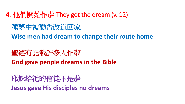- 4. 他們開始作夢 They got the dream (v. 12)
	- 睡夢中被勸告改道回家
	- **Wise men had dream to change their route home**
	- 聖經有記載許多人作夢 **God gave people dreams in the Bible**
	- 耶穌給祂的信徒不是夢 **Jesus gave His disciples no dreams**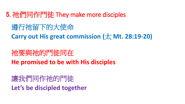5. 祂們同作門徒 They make more disciples

遵行祂留下的大使命

**Carry out His great commission (**太 **Mt. 28:19-20)**

祂要與祂的門徒同在 **He promised to be with His disciples** 

讓我們同作祂的門徒 **Let's be discipled together**